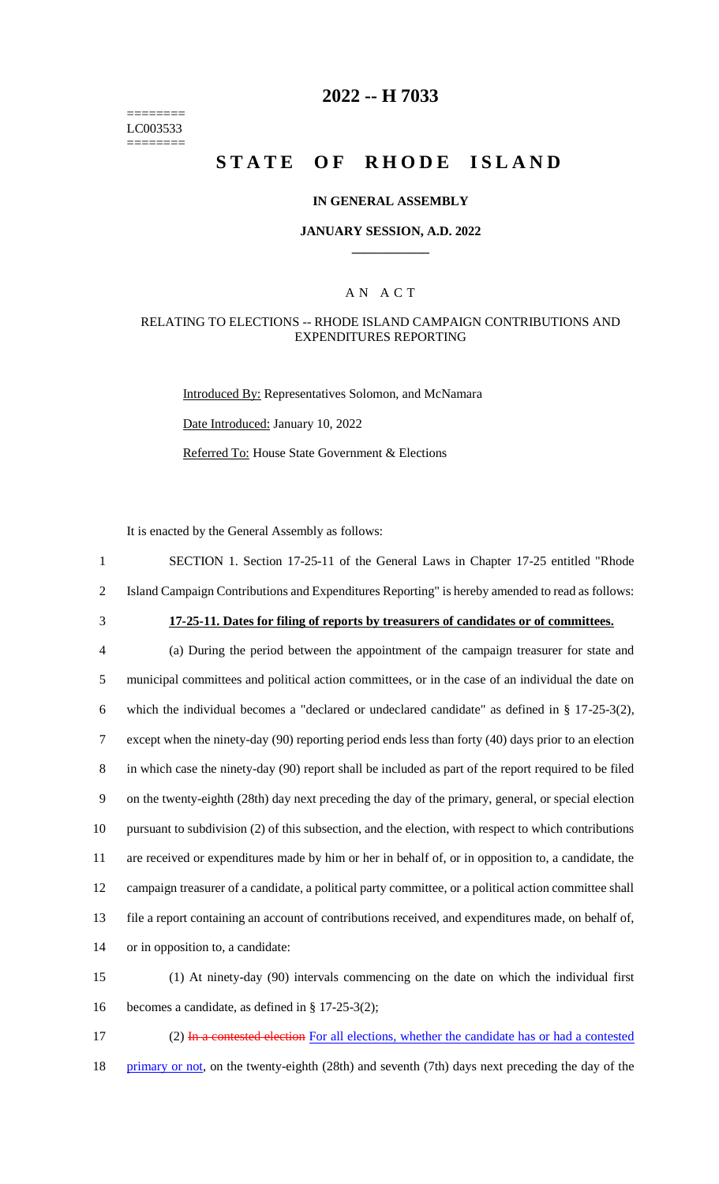======== LC003533 ========

### **2022 -- H 7033**

# **STATE OF RHODE ISLAND**

#### **IN GENERAL ASSEMBLY**

#### **JANUARY SESSION, A.D. 2022 \_\_\_\_\_\_\_\_\_\_\_\_**

#### A N A C T

#### RELATING TO ELECTIONS -- RHODE ISLAND CAMPAIGN CONTRIBUTIONS AND EXPENDITURES REPORTING

Introduced By: Representatives Solomon, and McNamara Date Introduced: January 10, 2022 Referred To: House State Government & Elections

It is enacted by the General Assembly as follows:

1 SECTION 1. Section 17-25-11 of the General Laws in Chapter 17-25 entitled "Rhode 2 Island Campaign Contributions and Expenditures Reporting" is hereby amended to read as follows:

## 3 **17-25-11. Dates for filing of reports by treasurers of candidates or of committees.**

 (a) During the period between the appointment of the campaign treasurer for state and municipal committees and political action committees, or in the case of an individual the date on which the individual becomes a "declared or undeclared candidate" as defined in § 17-25-3(2), except when the ninety-day (90) reporting period ends less than forty (40) days prior to an election in which case the ninety-day (90) report shall be included as part of the report required to be filed on the twenty-eighth (28th) day next preceding the day of the primary, general, or special election pursuant to subdivision (2) of this subsection, and the election, with respect to which contributions are received or expenditures made by him or her in behalf of, or in opposition to, a candidate, the campaign treasurer of a candidate, a political party committee, or a political action committee shall file a report containing an account of contributions received, and expenditures made, on behalf of, or in opposition to, a candidate:

15 (1) At ninety-day (90) intervals commencing on the date on which the individual first 16 becomes a candidate, as defined in § 17-25-3(2);

17 (2) In a contested election For all elections, whether the candidate has or had a contested 18 primary or not, on the twenty-eighth (28th) and seventh (7th) days next preceding the day of the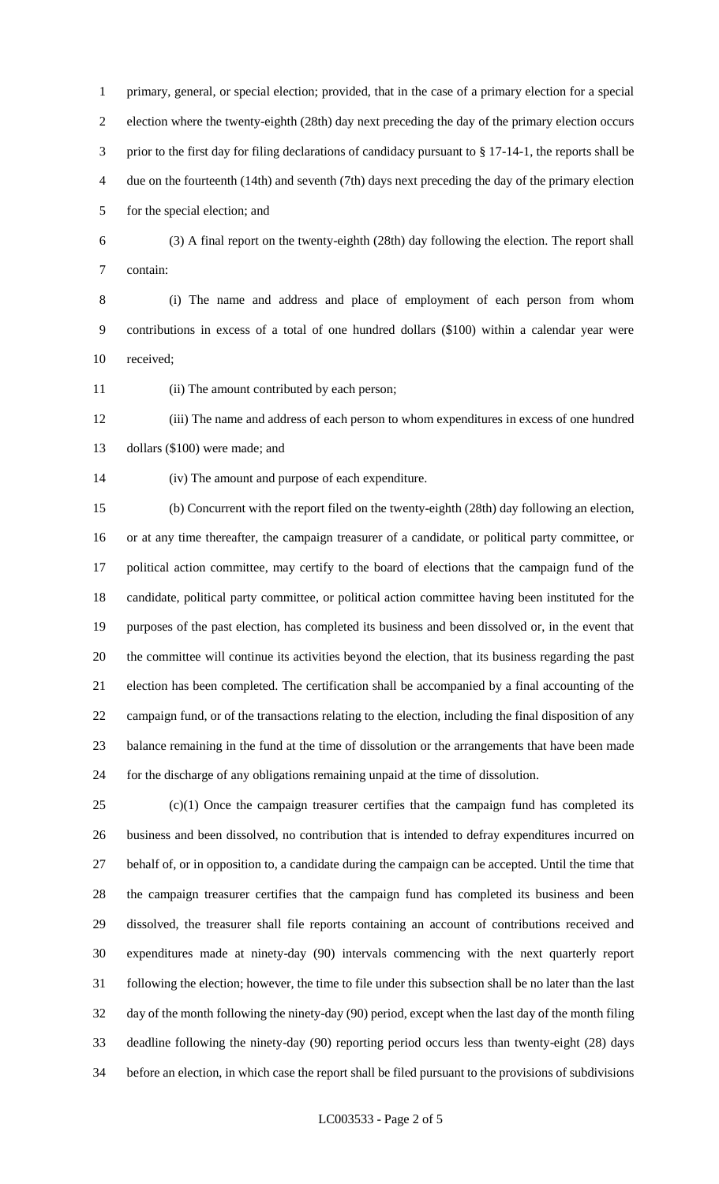primary, general, or special election; provided, that in the case of a primary election for a special election where the twenty-eighth (28th) day next preceding the day of the primary election occurs prior to the first day for filing declarations of candidacy pursuant to § 17-14-1, the reports shall be due on the fourteenth (14th) and seventh (7th) days next preceding the day of the primary election for the special election; and

 (3) A final report on the twenty-eighth (28th) day following the election. The report shall contain:

 (i) The name and address and place of employment of each person from whom contributions in excess of a total of one hundred dollars (\$100) within a calendar year were received;

(ii) The amount contributed by each person;

 (iii) The name and address of each person to whom expenditures in excess of one hundred dollars (\$100) were made; and

(iv) The amount and purpose of each expenditure.

 (b) Concurrent with the report filed on the twenty-eighth (28th) day following an election, or at any time thereafter, the campaign treasurer of a candidate, or political party committee, or political action committee, may certify to the board of elections that the campaign fund of the candidate, political party committee, or political action committee having been instituted for the purposes of the past election, has completed its business and been dissolved or, in the event that the committee will continue its activities beyond the election, that its business regarding the past election has been completed. The certification shall be accompanied by a final accounting of the campaign fund, or of the transactions relating to the election, including the final disposition of any balance remaining in the fund at the time of dissolution or the arrangements that have been made for the discharge of any obligations remaining unpaid at the time of dissolution.

 (c)(1) Once the campaign treasurer certifies that the campaign fund has completed its business and been dissolved, no contribution that is intended to defray expenditures incurred on behalf of, or in opposition to, a candidate during the campaign can be accepted. Until the time that the campaign treasurer certifies that the campaign fund has completed its business and been dissolved, the treasurer shall file reports containing an account of contributions received and expenditures made at ninety-day (90) intervals commencing with the next quarterly report following the election; however, the time to file under this subsection shall be no later than the last day of the month following the ninety-day (90) period, except when the last day of the month filing deadline following the ninety-day (90) reporting period occurs less than twenty-eight (28) days before an election, in which case the report shall be filed pursuant to the provisions of subdivisions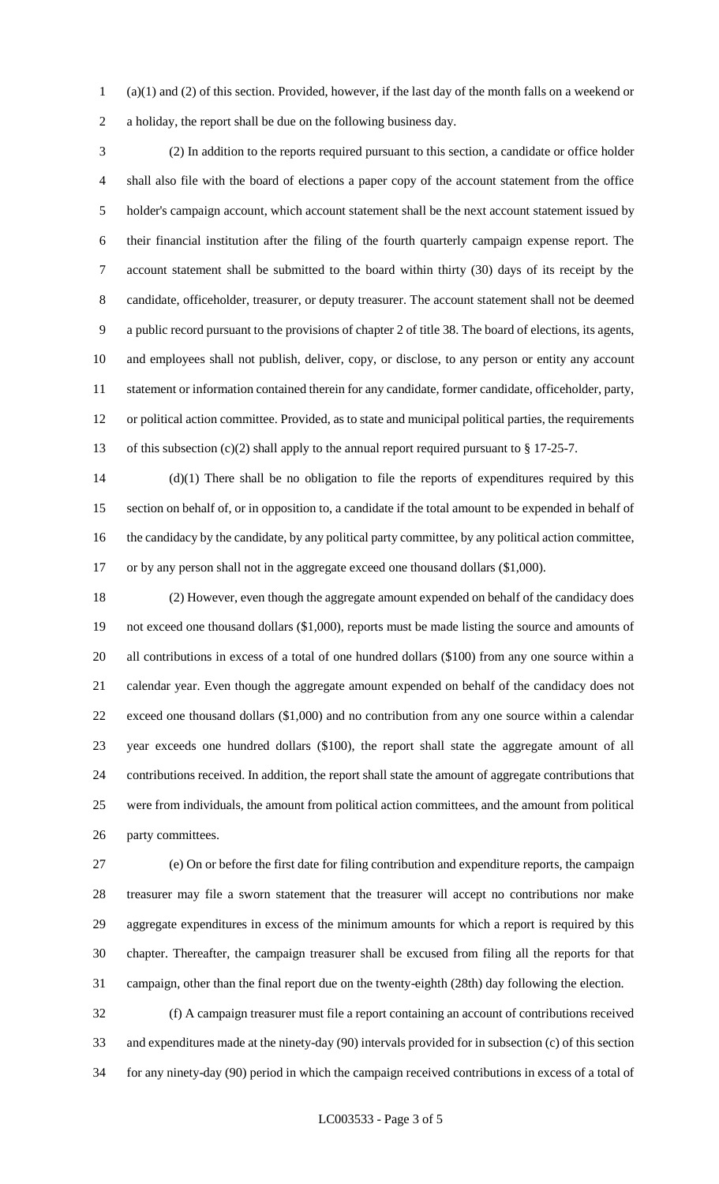(a)(1) and (2) of this section. Provided, however, if the last day of the month falls on a weekend or a holiday, the report shall be due on the following business day.

 (2) In addition to the reports required pursuant to this section, a candidate or office holder shall also file with the board of elections a paper copy of the account statement from the office holder's campaign account, which account statement shall be the next account statement issued by their financial institution after the filing of the fourth quarterly campaign expense report. The account statement shall be submitted to the board within thirty (30) days of its receipt by the candidate, officeholder, treasurer, or deputy treasurer. The account statement shall not be deemed a public record pursuant to the provisions of chapter 2 of title 38. The board of elections, its agents, and employees shall not publish, deliver, copy, or disclose, to any person or entity any account statement or information contained therein for any candidate, former candidate, officeholder, party, or political action committee. Provided, as to state and municipal political parties, the requirements 13 of this subsection (c)(2) shall apply to the annual report required pursuant to § 17-25-7.

 (d)(1) There shall be no obligation to file the reports of expenditures required by this section on behalf of, or in opposition to, a candidate if the total amount to be expended in behalf of the candidacy by the candidate, by any political party committee, by any political action committee, or by any person shall not in the aggregate exceed one thousand dollars (\$1,000).

 (2) However, even though the aggregate amount expended on behalf of the candidacy does not exceed one thousand dollars (\$1,000), reports must be made listing the source and amounts of all contributions in excess of a total of one hundred dollars (\$100) from any one source within a calendar year. Even though the aggregate amount expended on behalf of the candidacy does not exceed one thousand dollars (\$1,000) and no contribution from any one source within a calendar year exceeds one hundred dollars (\$100), the report shall state the aggregate amount of all contributions received. In addition, the report shall state the amount of aggregate contributions that were from individuals, the amount from political action committees, and the amount from political party committees.

 (e) On or before the first date for filing contribution and expenditure reports, the campaign treasurer may file a sworn statement that the treasurer will accept no contributions nor make aggregate expenditures in excess of the minimum amounts for which a report is required by this chapter. Thereafter, the campaign treasurer shall be excused from filing all the reports for that campaign, other than the final report due on the twenty-eighth (28th) day following the election.

 (f) A campaign treasurer must file a report containing an account of contributions received and expenditures made at the ninety-day (90) intervals provided for in subsection (c) of this section for any ninety-day (90) period in which the campaign received contributions in excess of a total of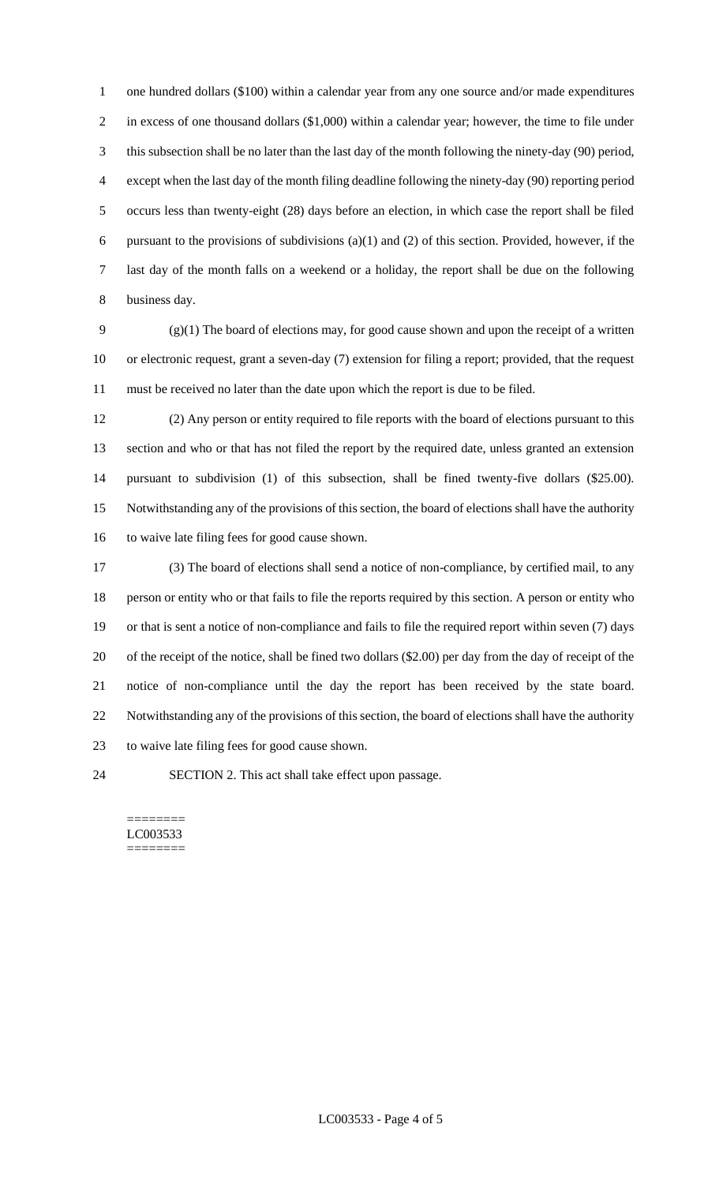one hundred dollars (\$100) within a calendar year from any one source and/or made expenditures in excess of one thousand dollars (\$1,000) within a calendar year; however, the time to file under this subsection shall be no later than the last day of the month following the ninety-day (90) period, except when the last day of the month filing deadline following the ninety-day (90) reporting period occurs less than twenty-eight (28) days before an election, in which case the report shall be filed 6 pursuant to the provisions of subdivisions  $(a)(1)$  and  $(2)$  of this section. Provided, however, if the last day of the month falls on a weekend or a holiday, the report shall be due on the following business day.

 (g)(1) The board of elections may, for good cause shown and upon the receipt of a written or electronic request, grant a seven-day (7) extension for filing a report; provided, that the request must be received no later than the date upon which the report is due to be filed.

 (2) Any person or entity required to file reports with the board of elections pursuant to this section and who or that has not filed the report by the required date, unless granted an extension pursuant to subdivision (1) of this subsection, shall be fined twenty-five dollars (\$25.00). Notwithstanding any of the provisions of this section, the board of elections shall have the authority to waive late filing fees for good cause shown.

 (3) The board of elections shall send a notice of non-compliance, by certified mail, to any person or entity who or that fails to file the reports required by this section. A person or entity who or that is sent a notice of non-compliance and fails to file the required report within seven (7) days of the receipt of the notice, shall be fined two dollars (\$2.00) per day from the day of receipt of the notice of non-compliance until the day the report has been received by the state board. Notwithstanding any of the provisions of this section, the board of elections shall have the authority to waive late filing fees for good cause shown.

SECTION 2. This act shall take effect upon passage.

======== LC003533 ========